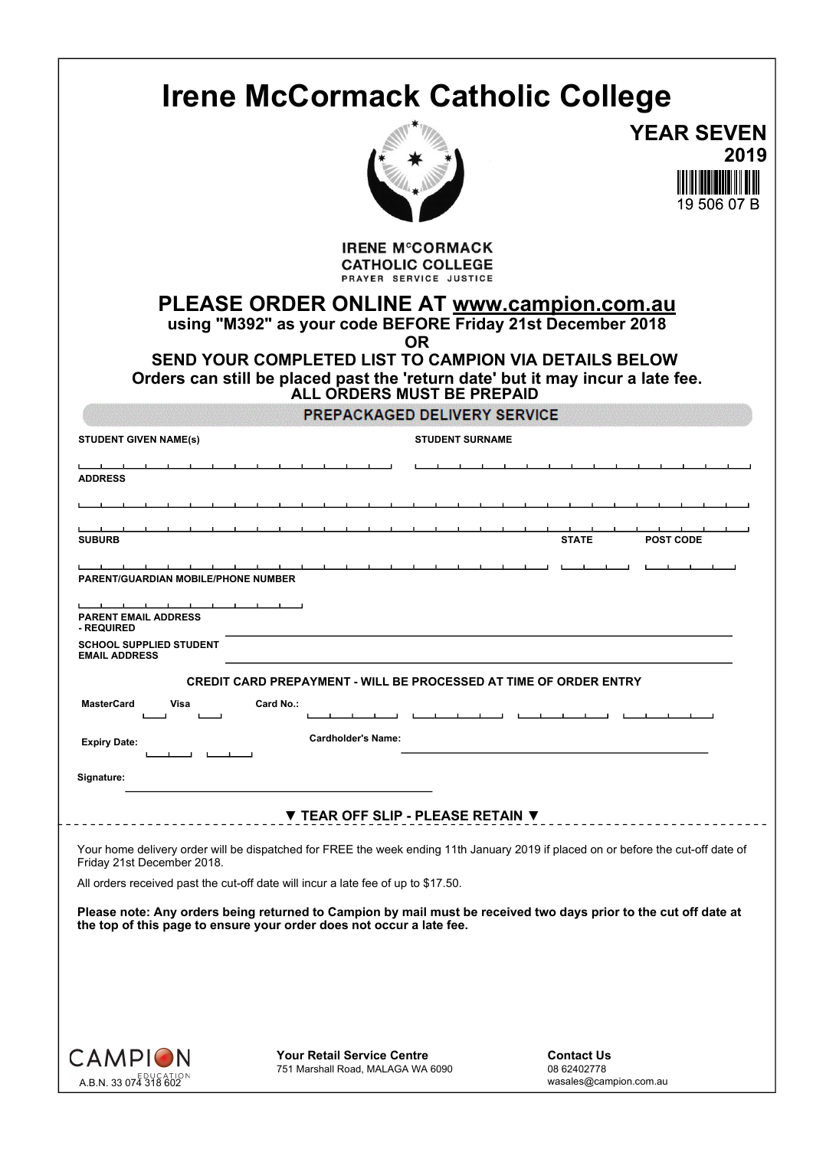|                                                        | <b>Irene McCormack Catholic College</b>                                                                                                                                                                                                                                                       |                                                            |      |
|--------------------------------------------------------|-----------------------------------------------------------------------------------------------------------------------------------------------------------------------------------------------------------------------------------------------------------------------------------------------|------------------------------------------------------------|------|
|                                                        |                                                                                                                                                                                                                                                                                               | <b>YEAR SEVEN</b>                                          |      |
|                                                        |                                                                                                                                                                                                                                                                                               | 19 506 07 B                                                | 2019 |
|                                                        | <b>IRENE M°CORMACK</b><br><b>CATHOLIC COLLEGE</b><br>PRAYER SERVICE JUSTICE                                                                                                                                                                                                                   |                                                            |      |
|                                                        | PLEASE ORDER ONLINE AT www.campion.com.au<br>using "M392" as your code BEFORE Friday 21st December 2018<br><b>OR</b><br>SEND YOUR COMPLETED LIST TO CAMPION VIA DETAILS BELOW<br>Orders can still be placed past the 'return date' but it may incur a late fee.<br>ALL ORDERS MUST BE PREPAID |                                                            |      |
|                                                        | PREPACKAGED DELIVERY SERVICE                                                                                                                                                                                                                                                                  |                                                            |      |
| <b>STUDENT GIVEN NAME(s)</b>                           | <b>STUDENT SURNAME</b>                                                                                                                                                                                                                                                                        |                                                            |      |
| <b>ADDRESS</b>                                         |                                                                                                                                                                                                                                                                                               |                                                            |      |
|                                                        |                                                                                                                                                                                                                                                                                               |                                                            |      |
|                                                        |                                                                                                                                                                                                                                                                                               |                                                            |      |
| <b>SUBURB</b>                                          |                                                                                                                                                                                                                                                                                               | <b>STATE</b><br><b>POST CODE</b>                           |      |
| PARENT/GUARDIAN MOBILE/PHONE NUMBER                    |                                                                                                                                                                                                                                                                                               |                                                            |      |
| <b>PARENT EMAIL ADDRESS</b>                            |                                                                                                                                                                                                                                                                                               |                                                            |      |
| - REQUIRED                                             |                                                                                                                                                                                                                                                                                               |                                                            |      |
| <b>SCHOOL SUPPLIED STUDENT</b><br><b>EMAIL ADDRESS</b> |                                                                                                                                                                                                                                                                                               |                                                            |      |
|                                                        | <b>CREDIT CARD PREPAYMENT - WILL BE PROCESSED AT TIME OF ORDER ENTRY</b>                                                                                                                                                                                                                      |                                                            |      |
| <b>MasterCard</b><br>Visa                              | Card No.:                                                                                                                                                                                                                                                                                     |                                                            |      |
| <b>Expiry Date:</b>                                    | <b>Cardholder's Name:</b>                                                                                                                                                                                                                                                                     |                                                            |      |
| - 1<br>- 11<br>Signature:                              |                                                                                                                                                                                                                                                                                               |                                                            |      |
|                                                        |                                                                                                                                                                                                                                                                                               |                                                            |      |
|                                                        | ▼ TEAR OFF SLIP - PLEASE RETAIN ▼                                                                                                                                                                                                                                                             |                                                            |      |
| Friday 21st December 2018.                             | Your home delivery order will be dispatched for FREE the week ending 11th January 2019 if placed on or before the cut-off date of                                                                                                                                                             |                                                            |      |
|                                                        | All orders received past the cut-off date will incur a late fee of up to \$17.50.                                                                                                                                                                                                             |                                                            |      |
|                                                        | Please note: Any orders being returned to Campion by mail must be received two days prior to the cut off date at<br>the top of this page to ensure your order does not occur a late fee.                                                                                                      |                                                            |      |
|                                                        |                                                                                                                                                                                                                                                                                               |                                                            |      |
| <b>CAMPION</b><br><b>A.B.N. 33 074 318 602</b>         | <b>Your Retail Service Centre</b><br>751 Marshall Road, MALAGA WA 6090                                                                                                                                                                                                                        | <b>Contact Us</b><br>08 62402778<br>wasales@campion.com.au |      |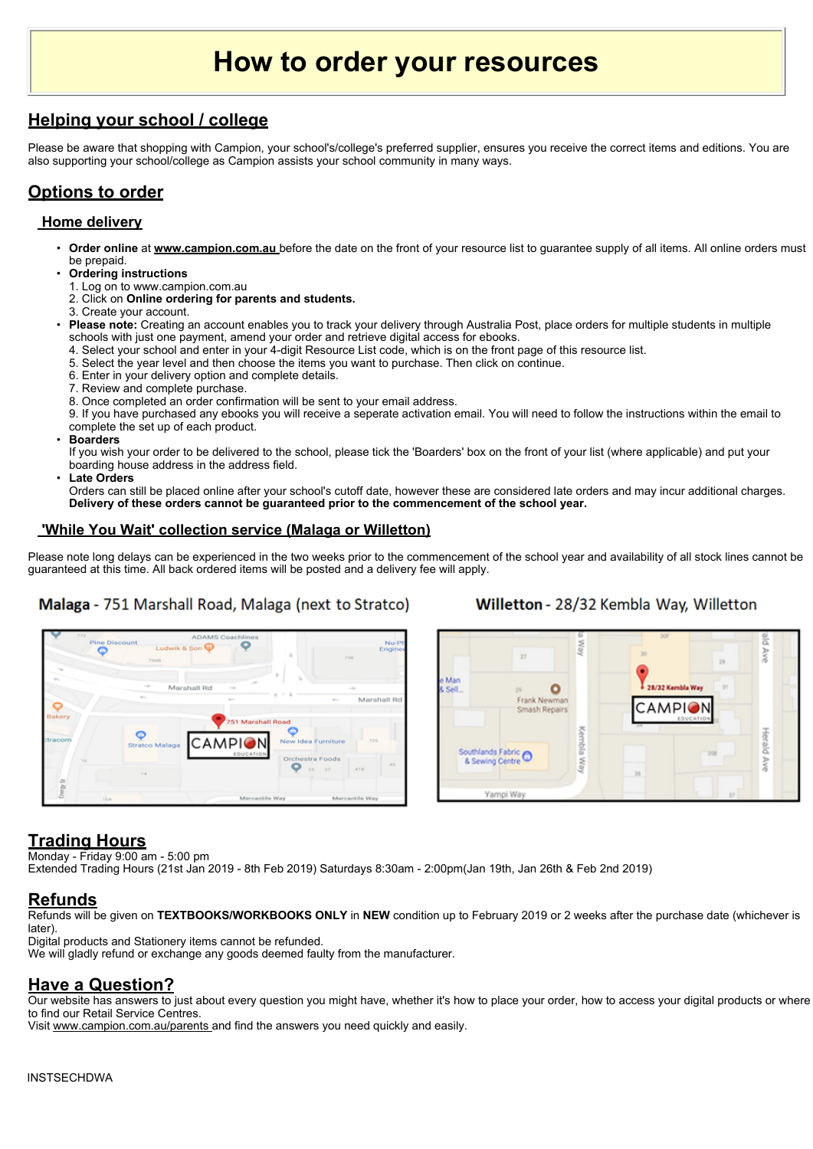# **How to order your resources**

#### **Helping your school / college**

Please be aware that shopping with Campion, your school's/college's preferred supplier, ensures you receive the correct items and editions. You are also supporting your school/college as Campion assists your school community in many ways.

#### **Options to order**

#### **Home delivery**

- **Order online** at **www.campion.com.au** before the date on the front of your resource list to guarantee supply of all items. All online orders must be prepaid.
- **Ordering instructions**
- 1. Log on to www.campion.com.au
- 2. Click on **Online ordering for parents and students.**
- 3. Create your account.
- **Please note:** Creating an account enables you to track your delivery through Australia Post, place orders for multiple students in multiple schools with just one payment, amend your order and retrieve digital access for ebooks.
- 4. Select your school and enter in your 4-digit Resource List code, which is on the front page of this resource list.
- 5. Select the year level and then choose the items you want to purchase. Then click on continue.
- 6. Enter in your delivery option and complete details.
- 7. Review and complete purchase.
- 8. Once completed an order confirmation will be sent to your email address.

9. If you have purchased any ebooks you will receive a seperate activation email. You will need to follow the instructions within the email to complete the set up of each product.

• **Boarders**

If you wish your order to be delivered to the school, please tick the 'Boarders' box on the front of your list (where applicable) and put your boarding house address in the address field.

• **Late Orders**

Orders can still be placed online after your school's cutoff date, however these are considered late orders and may incur additional charges. **Delivery of these orders cannot be guaranteed prior to the commencement of the school year.**

#### **'While You Wait' collection service (Malaga or Willetton)**

Please note long delays can be experienced in the two weeks prior to the commencement of the school year and availability of all stock lines cannot be guaranteed at this time. All back ordered items will be posted and a delivery fee will apply.

#### Malaga - 751 Marshall Road, Malaga (next to Stratco)

#### Willetton - 28/32 Kembla Way, Willetton





#### **Trading Hours**

Monday - Friday 9:00 am - 5:00 pm

Extended Trading Hours (21st Jan 2019 - 8th Feb 2019) Saturdays 8:30am - 2:00pm(Jan 19th, Jan 26th & Feb 2nd 2019)

#### **Refunds**

Refunds will be given on **TEXTBOOKS/WORKBOOKS ONLY** in **NEW** condition up to February 2019 or 2 weeks after the purchase date (whichever is later).

Digital products and Stationery items cannot be refunded.

We will gladly refund or exchange any goods deemed faulty from the manufacturer.

#### **Have a Question?**

Our website has answers to just about every question you might have, whether it's how to place your order, how to access your digital products or where to find our Retail Service Centres.

Visit www.campion.com.au/parents and find the answers you need quickly and easily.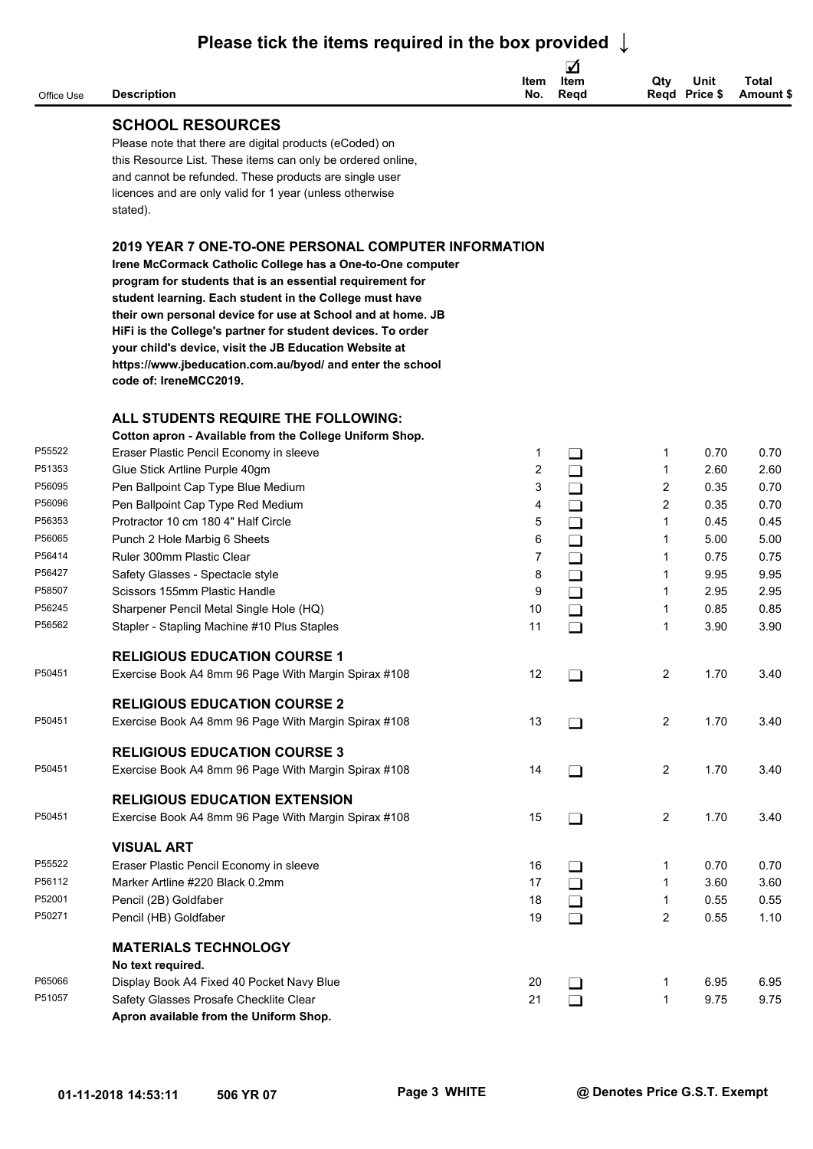| Office Use       | <b>Description</b>                                                                                                                                                                                                                                                                                                                                                                                                                                                | Item<br>No.    | ☑<br>Item<br>Regd | Qty<br>Reqd Price \$ | Unit | Total<br>Amount \$ |
|------------------|-------------------------------------------------------------------------------------------------------------------------------------------------------------------------------------------------------------------------------------------------------------------------------------------------------------------------------------------------------------------------------------------------------------------------------------------------------------------|----------------|-------------------|----------------------|------|--------------------|
|                  | <b>SCHOOL RESOURCES</b>                                                                                                                                                                                                                                                                                                                                                                                                                                           |                |                   |                      |      |                    |
|                  | Please note that there are digital products (eCoded) on<br>this Resource List. These items can only be ordered online,<br>and cannot be refunded. These products are single user<br>licences and are only valid for 1 year (unless otherwise<br>stated).                                                                                                                                                                                                          |                |                   |                      |      |                    |
|                  | 2019 YEAR 7 ONE-TO-ONE PERSONAL COMPUTER INFORMATION                                                                                                                                                                                                                                                                                                                                                                                                              |                |                   |                      |      |                    |
|                  | Irene McCormack Catholic College has a One-to-One computer<br>program for students that is an essential requirement for<br>student learning. Each student in the College must have<br>their own personal device for use at School and at home. JB<br>HiFi is the College's partner for student devices. To order<br>your child's device, visit the JB Education Website at<br>https://www.jbeducation.com.au/byod/ and enter the school<br>code of: IreneMCC2019. |                |                   |                      |      |                    |
|                  | ALL STUDENTS REQUIRE THE FOLLOWING:                                                                                                                                                                                                                                                                                                                                                                                                                               |                |                   |                      |      |                    |
|                  | Cotton apron - Available from the College Uniform Shop.                                                                                                                                                                                                                                                                                                                                                                                                           |                |                   |                      |      |                    |
| P55522           | Eraser Plastic Pencil Economy in sleeve                                                                                                                                                                                                                                                                                                                                                                                                                           | 1              | $\Box$            | 1                    | 0.70 | 0.70               |
| P51353           | Glue Stick Artline Purple 40gm                                                                                                                                                                                                                                                                                                                                                                                                                                    | 2              | $\Box$            | 1                    | 2.60 | 2.60               |
| P56095           | Pen Ballpoint Cap Type Blue Medium                                                                                                                                                                                                                                                                                                                                                                                                                                | 3              | $\Box$            | 2                    | 0.35 | 0.70               |
| P56096           | Pen Ballpoint Cap Type Red Medium                                                                                                                                                                                                                                                                                                                                                                                                                                 | 4              | $\Box$            | 2                    | 0.35 | 0.70               |
| P56353           | Protractor 10 cm 180 4" Half Circle                                                                                                                                                                                                                                                                                                                                                                                                                               | 5              | $\Box$            | 1                    | 0.45 | 0.45               |
| P56065           | Punch 2 Hole Marbig 6 Sheets                                                                                                                                                                                                                                                                                                                                                                                                                                      | 6              | $\Box$            | 1                    | 5.00 | 5.00               |
| P56414           | Ruler 300mm Plastic Clear                                                                                                                                                                                                                                                                                                                                                                                                                                         | $\overline{7}$ | $\Box$            | 1                    | 0.75 | 0.75               |
| P56427           | Safety Glasses - Spectacle style                                                                                                                                                                                                                                                                                                                                                                                                                                  | 8              | $\Box$            | 1                    | 9.95 | 9.95               |
| P58507           | Scissors 155mm Plastic Handle                                                                                                                                                                                                                                                                                                                                                                                                                                     | 9              | $\Box$            | 1                    | 2.95 | 2.95               |
| P56245<br>P56562 | Sharpener Pencil Metal Single Hole (HQ)                                                                                                                                                                                                                                                                                                                                                                                                                           | 10             | $\Box$            | 1                    | 0.85 | 0.85               |
|                  | Stapler - Stapling Machine #10 Plus Staples                                                                                                                                                                                                                                                                                                                                                                                                                       | 11             | $\Box$            | -1                   | 3.90 | 3.90               |
|                  | <b>RELIGIOUS EDUCATION COURSE 1</b>                                                                                                                                                                                                                                                                                                                                                                                                                               |                |                   |                      |      |                    |
| P50451           | Exercise Book A4 8mm 96 Page With Margin Spirax #108                                                                                                                                                                                                                                                                                                                                                                                                              | 12             | $\Box$            | 2                    | 1.70 | 3.40               |
|                  | <b>RELIGIOUS EDUCATION COURSE 2</b>                                                                                                                                                                                                                                                                                                                                                                                                                               |                |                   |                      |      |                    |
| P50451           | Exercise Book A4 8mm 96 Page With Margin Spirax #108                                                                                                                                                                                                                                                                                                                                                                                                              | 13             | $\Box$            | $\overline{2}$       | 1.70 | 3.40               |
|                  |                                                                                                                                                                                                                                                                                                                                                                                                                                                                   |                |                   |                      |      |                    |
|                  | <b>RELIGIOUS EDUCATION COURSE 3</b>                                                                                                                                                                                                                                                                                                                                                                                                                               |                |                   |                      |      |                    |
| P50451           | Exercise Book A4 8mm 96 Page With Margin Spirax #108                                                                                                                                                                                                                                                                                                                                                                                                              | 14             | $\Box$            | $\overline{2}$       | 1.70 | 3.40               |
|                  | <b>RELIGIOUS EDUCATION EXTENSION</b>                                                                                                                                                                                                                                                                                                                                                                                                                              |                |                   |                      |      |                    |
| P50451           | Exercise Book A4 8mm 96 Page With Margin Spirax #108                                                                                                                                                                                                                                                                                                                                                                                                              | 15             | $\Box$            | $\overline{2}$       | 1.70 | 3.40               |
|                  | <b>VISUAL ART</b>                                                                                                                                                                                                                                                                                                                                                                                                                                                 |                |                   |                      |      |                    |
| P55522           | Eraser Plastic Pencil Economy in sleeve                                                                                                                                                                                                                                                                                                                                                                                                                           | 16             | $\Box$            | 1                    | 0.70 | 0.70               |
| P56112           | Marker Artline #220 Black 0.2mm                                                                                                                                                                                                                                                                                                                                                                                                                                   | 17             | $\Box$            | 1                    | 3.60 | 3.60               |
| P52001           | Pencil (2B) Goldfaber                                                                                                                                                                                                                                                                                                                                                                                                                                             | 18             | $\Box$            | $\mathbf{1}$         | 0.55 | 0.55               |
| P50271           | Pencil (HB) Goldfaber                                                                                                                                                                                                                                                                                                                                                                                                                                             | 19             | $\Box$            | $\overline{2}$       | 0.55 | 1.10               |
|                  |                                                                                                                                                                                                                                                                                                                                                                                                                                                                   |                |                   |                      |      |                    |
|                  | <b>MATERIALS TECHNOLOGY</b>                                                                                                                                                                                                                                                                                                                                                                                                                                       |                |                   |                      |      |                    |
| P65066           | No text required.<br>Display Book A4 Fixed 40 Pocket Navy Blue                                                                                                                                                                                                                                                                                                                                                                                                    | 20             |                   | 1                    | 6.95 | 6.95               |
| P51057           | Safety Glasses Prosafe Checklite Clear                                                                                                                                                                                                                                                                                                                                                                                                                            | 21             | $\Box$<br>$\Box$  | $\mathbf{1}$         | 9.75 | 9.75               |
|                  | Apron available from the Uniform Shop.                                                                                                                                                                                                                                                                                                                                                                                                                            |                |                   |                      |      |                    |
|                  |                                                                                                                                                                                                                                                                                                                                                                                                                                                                   |                |                   |                      |      |                    |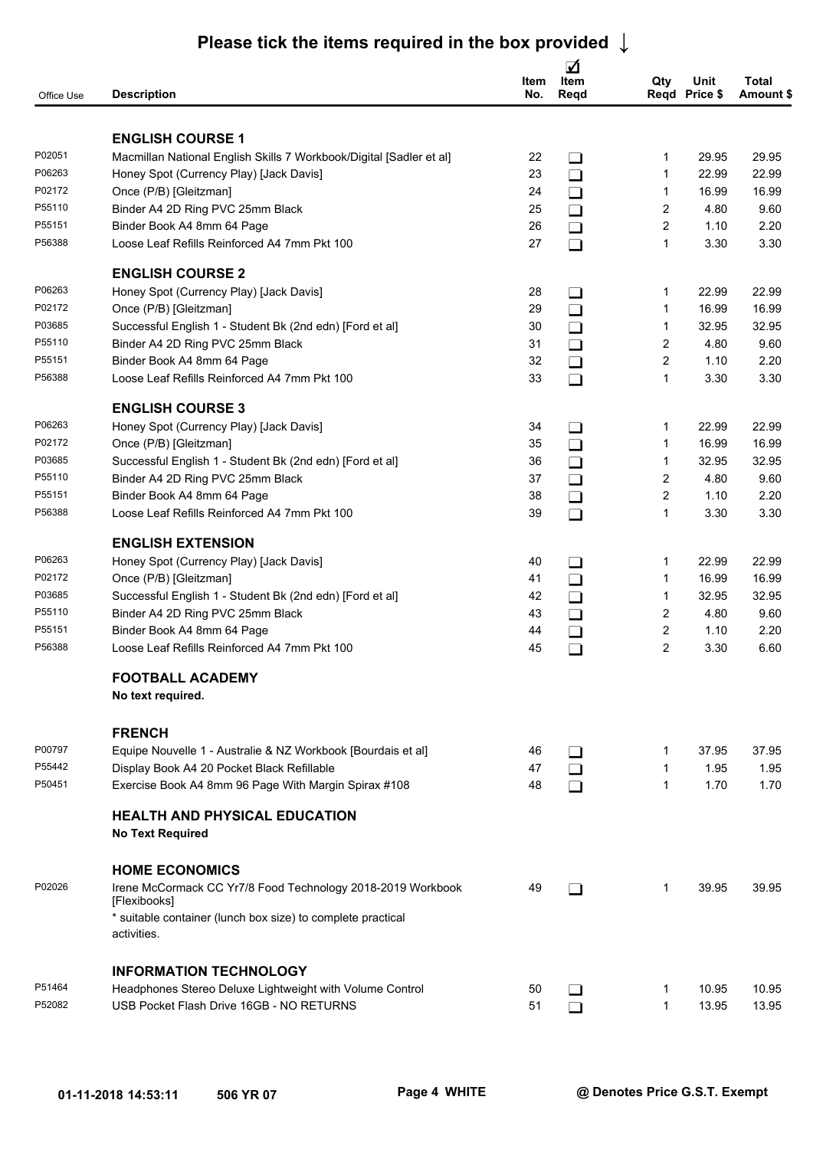| Office Use | <b>Description</b>                                                          | ltem<br>No. | ☑<br>Item<br>Regd | Qty            | Unit<br>Regd Price \$ | Total<br>Amount \$ |
|------------|-----------------------------------------------------------------------------|-------------|-------------------|----------------|-----------------------|--------------------|
|            | <b>ENGLISH COURSE 1</b>                                                     |             |                   |                |                       |                    |
| P02051     | Macmillan National English Skills 7 Workbook/Digital [Sadler et al]         | 22          | $\Box$            | 1              | 29.95                 | 29.95              |
| P06263     | Honey Spot (Currency Play) [Jack Davis]                                     | 23          | $\Box$            | 1              | 22.99                 | 22.99              |
| P02172     | Once (P/B) [Gleitzman]                                                      | 24          | $\Box$            | 1              | 16.99                 | 16.99              |
| P55110     | Binder A4 2D Ring PVC 25mm Black                                            | 25          | $\Box$            | $\overline{2}$ | 4.80                  | 9.60               |
| P55151     | Binder Book A4 8mm 64 Page                                                  | 26          | $\Box$            | $\overline{2}$ | 1.10                  | 2.20               |
| P56388     | Loose Leaf Refills Reinforced A4 7mm Pkt 100                                | 27          | $\Box$            | $\mathbf{1}$   | 3.30                  | 3.30               |
|            | <b>ENGLISH COURSE 2</b>                                                     |             |                   |                |                       |                    |
| P06263     | Honey Spot (Currency Play) [Jack Davis]                                     | 28          | $\Box$            | 1              | 22.99                 | 22.99              |
| P02172     | Once (P/B) [Gleitzman]                                                      | 29          | $\Box$            | 1              | 16.99                 | 16.99              |
| P03685     | Successful English 1 - Student Bk (2nd edn) [Ford et al]                    | 30          | $\Box$            | 1              | 32.95                 | 32.95              |
| P55110     | Binder A4 2D Ring PVC 25mm Black                                            | 31          | $\Box$            | $\overline{2}$ | 4.80                  | 9.60               |
| P55151     | Binder Book A4 8mm 64 Page                                                  | 32          | $\Box$            | $\overline{2}$ | 1.10                  | 2.20               |
| P56388     | Loose Leaf Refills Reinforced A4 7mm Pkt 100                                | 33          | $\Box$            | $\mathbf{1}$   | 3.30                  | 3.30               |
|            | <b>ENGLISH COURSE 3</b>                                                     |             |                   |                |                       |                    |
| P06263     | Honey Spot (Currency Play) [Jack Davis]                                     | 34          | $\Box$            | 1              | 22.99                 | 22.99              |
| P02172     | Once (P/B) [Gleitzman]                                                      | 35          | $\Box$            | $\mathbf{1}$   | 16.99                 | 16.99              |
| P03685     | Successful English 1 - Student Bk (2nd edn) [Ford et al]                    | 36          | $\Box$            | 1              | 32.95                 | 32.95              |
| P55110     | Binder A4 2D Ring PVC 25mm Black                                            | 37          | $\Box$            | $\overline{2}$ | 4.80                  | 9.60               |
| P55151     | Binder Book A4 8mm 64 Page                                                  | 38          | $\Box$            | $\overline{2}$ | 1.10                  | 2.20               |
| P56388     | Loose Leaf Refills Reinforced A4 7mm Pkt 100                                | 39          | $\Box$            | $\mathbf{1}$   | 3.30                  | 3.30               |
|            | <b>ENGLISH EXTENSION</b>                                                    |             |                   |                |                       |                    |
| P06263     | Honey Spot (Currency Play) [Jack Davis]                                     | 40          | $\Box$            | 1              | 22.99                 | 22.99              |
| P02172     | Once (P/B) [Gleitzman]                                                      | 41          | $\Box$            | $\mathbf{1}$   | 16.99                 | 16.99              |
| P03685     | Successful English 1 - Student Bk (2nd edn) [Ford et al]                    | 42          | $\Box$            | $\mathbf{1}$   | 32.95                 | 32.95              |
| P55110     | Binder A4 2D Ring PVC 25mm Black                                            | 43          | $\Box$            | $\overline{2}$ | 4.80                  | 9.60               |
| P55151     | Binder Book A4 8mm 64 Page                                                  | 44          | $\Box$            | $\overline{2}$ | 1.10                  | 2.20               |
| P56388     | Loose Leaf Refills Reinforced A4 7mm Pkt 100                                | 45          | $\Box$            | $\overline{2}$ | 3.30                  | 6.60               |
|            | <b>FOOTBALL ACADEMY</b>                                                     |             |                   |                |                       |                    |
|            | No text required.                                                           |             |                   |                |                       |                    |
|            | <b>FRENCH</b>                                                               |             |                   |                |                       |                    |
| P00797     | Equipe Nouvelle 1 - Australie & NZ Workbook [Bourdais et al]                | 46          | $\Box$            | 1              | 37.95                 | 37.95              |
| P55442     | Display Book A4 20 Pocket Black Refillable                                  | 47          | $\Box$            | $\mathbf{1}$   | 1.95                  | 1.95               |
| P50451     | Exercise Book A4 8mm 96 Page With Margin Spirax #108                        | 48          | $\Box$            | $\mathbf{1}$   | 1.70                  | 1.70               |
|            | <b>HEALTH AND PHYSICAL EDUCATION</b><br><b>No Text Required</b>             |             |                   |                |                       |                    |
|            | <b>HOME ECONOMICS</b>                                                       |             |                   |                |                       |                    |
| P02026     | Irene McCormack CC Yr7/8 Food Technology 2018-2019 Workbook<br>[Flexibooks] | 49          | $\Box$            | 1              | 39.95                 | 39.95              |
|            | * suitable container (lunch box size) to complete practical<br>activities.  |             |                   |                |                       |                    |
|            | <b>INFORMATION TECHNOLOGY</b>                                               |             |                   |                |                       |                    |
| P51464     | Headphones Stereo Deluxe Lightweight with Volume Control                    | 50          | $\Box$            | 1              | 10.95                 | 10.95              |
| P52082     | USB Pocket Flash Drive 16GB - NO RETURNS                                    | 51          | $\Box$            | $\mathbf{1}$   | 13.95                 | 13.95              |
|            |                                                                             |             |                   |                |                       |                    |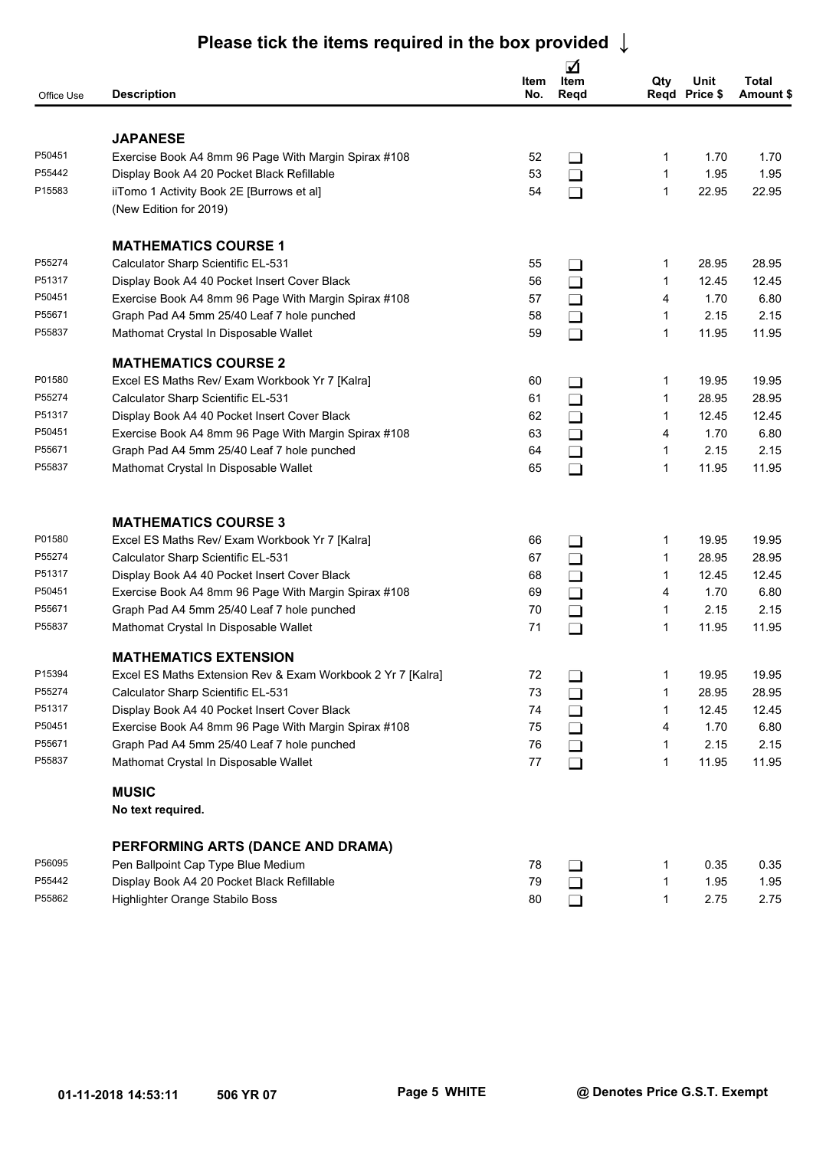| Office Use       | <b>Description</b>                                          | Item<br>No. | ☑<br>Item<br>Regd | Qty          | Unit<br>Regd Price \$ | Total<br>Amount \$ |
|------------------|-------------------------------------------------------------|-------------|-------------------|--------------|-----------------------|--------------------|
|                  |                                                             |             |                   |              |                       |                    |
|                  | <b>JAPANESE</b>                                             |             |                   |              |                       |                    |
| P50451           | Exercise Book A4 8mm 96 Page With Margin Spirax #108        | 52          | $\Box$            |              | 1.70                  | 1.70               |
| P55442<br>P15583 | Display Book A4 20 Pocket Black Refillable                  | 53          | $\Box$            | 1            | 1.95                  | 1.95               |
|                  | iiTomo 1 Activity Book 2E [Burrows et al]                   | 54          | $\Box$            | 1            | 22.95                 | 22.95              |
|                  | (New Edition for 2019)                                      |             |                   |              |                       |                    |
|                  | <b>MATHEMATICS COURSE 1</b>                                 |             |                   |              |                       |                    |
| P55274           | Calculator Sharp Scientific EL-531                          | 55          | $\Box$            |              | 28.95                 | 28.95              |
| P51317           | Display Book A4 40 Pocket Insert Cover Black                | 56          | $\Box$            |              | 12.45                 | 12.45              |
| P50451           | Exercise Book A4 8mm 96 Page With Margin Spirax #108        | 57          | $\Box$            | 4            | 1.70                  | 6.80               |
| P55671           | Graph Pad A4 5mm 25/40 Leaf 7 hole punched                  | 58          | $\Box$            | 1            | 2.15                  | 2.15               |
| P55837           | Mathomat Crystal In Disposable Wallet                       | 59          | $\Box$            | 1            | 11.95                 | 11.95              |
|                  | <b>MATHEMATICS COURSE 2</b>                                 |             |                   |              |                       |                    |
| P01580           | Excel ES Maths Rev/ Exam Workbook Yr 7 [Kalra]              | 60          | $\Box$            | 1            | 19.95                 | 19.95              |
| P55274           | Calculator Sharp Scientific EL-531                          | 61          | $\Box$            | 1            | 28.95                 | 28.95              |
| P51317           | Display Book A4 40 Pocket Insert Cover Black                | 62          | $\Box$            | 1            | 12.45                 | 12.45              |
| P50451           | Exercise Book A4 8mm 96 Page With Margin Spirax #108        | 63          | $\Box$            | 4            | 1.70                  | 6.80               |
| P55671           | Graph Pad A4 5mm 25/40 Leaf 7 hole punched                  | 64          | $\Box$            | 1            | 2.15                  | 2.15               |
| P55837           | Mathomat Crystal In Disposable Wallet                       | 65          | $\Box$            | 1            | 11.95                 | 11.95              |
|                  | <b>MATHEMATICS COURSE 3</b>                                 |             |                   |              |                       |                    |
| P01580           | Excel ES Maths Rev/ Exam Workbook Yr 7 [Kalra]              | 66          | $\Box$            | 1            | 19.95                 | 19.95              |
| P55274           | Calculator Sharp Scientific EL-531                          | 67          | $\Box$            | 1            | 28.95                 | 28.95              |
| P51317           | Display Book A4 40 Pocket Insert Cover Black                | 68          | $\Box$            |              | 12.45                 | 12.45              |
| P50451           | Exercise Book A4 8mm 96 Page With Margin Spirax #108        | 69          | $\Box$            | 4            | 1.70                  | 6.80               |
| P55671           | Graph Pad A4 5mm 25/40 Leaf 7 hole punched                  | 70          | $\Box$            | 1            | 2.15                  | 2.15               |
| P55837           | Mathomat Crystal In Disposable Wallet                       | 71          | $\Box$            | 1            | 11.95                 | 11.95              |
|                  | <b>MATHEMATICS EXTENSION</b>                                |             |                   |              |                       |                    |
| P15394           | Excel ES Maths Extension Rev & Exam Workbook 2 Yr 7 [Kalra] | 72          | $\Box$            |              | 19.95                 | 19.95              |
| P55274           | Calculator Sharp Scientific EL-531                          | 73          | $\Box$            |              | 28.95                 | 28.95              |
| P51317           | Display Book A4 40 Pocket Insert Cover Black                | 74          | $\Box$            | 1            | 12.45                 | 12.45              |
| P50451           | Exercise Book A4 8mm 96 Page With Margin Spirax #108        | 75          | $\Box$            | 4            | 1.70                  | 6.80               |
| P55671           | Graph Pad A4 5mm 25/40 Leaf 7 hole punched                  | 76          | $\Box$            | 1            | 2.15                  | 2.15               |
| P55837           | Mathomat Crystal In Disposable Wallet                       | 77          | $\Box$            | $\mathbf{1}$ | 11.95                 | 11.95              |
|                  | <b>MUSIC</b>                                                |             |                   |              |                       |                    |
|                  | No text required.                                           |             |                   |              |                       |                    |
|                  | PERFORMING ARTS (DANCE AND DRAMA)                           |             |                   |              |                       |                    |
| P56095           | Pen Ballpoint Cap Type Blue Medium                          | 78          | $\Box$            |              | 0.35                  | 0.35               |
| P55442           | Display Book A4 20 Pocket Black Refillable                  | 79          | $\Box$            | 1            | 1.95                  | 1.95               |
| P55862           | Highlighter Orange Stabilo Boss                             | 80          | $\Box$            |              | 2.75                  | 2.75               |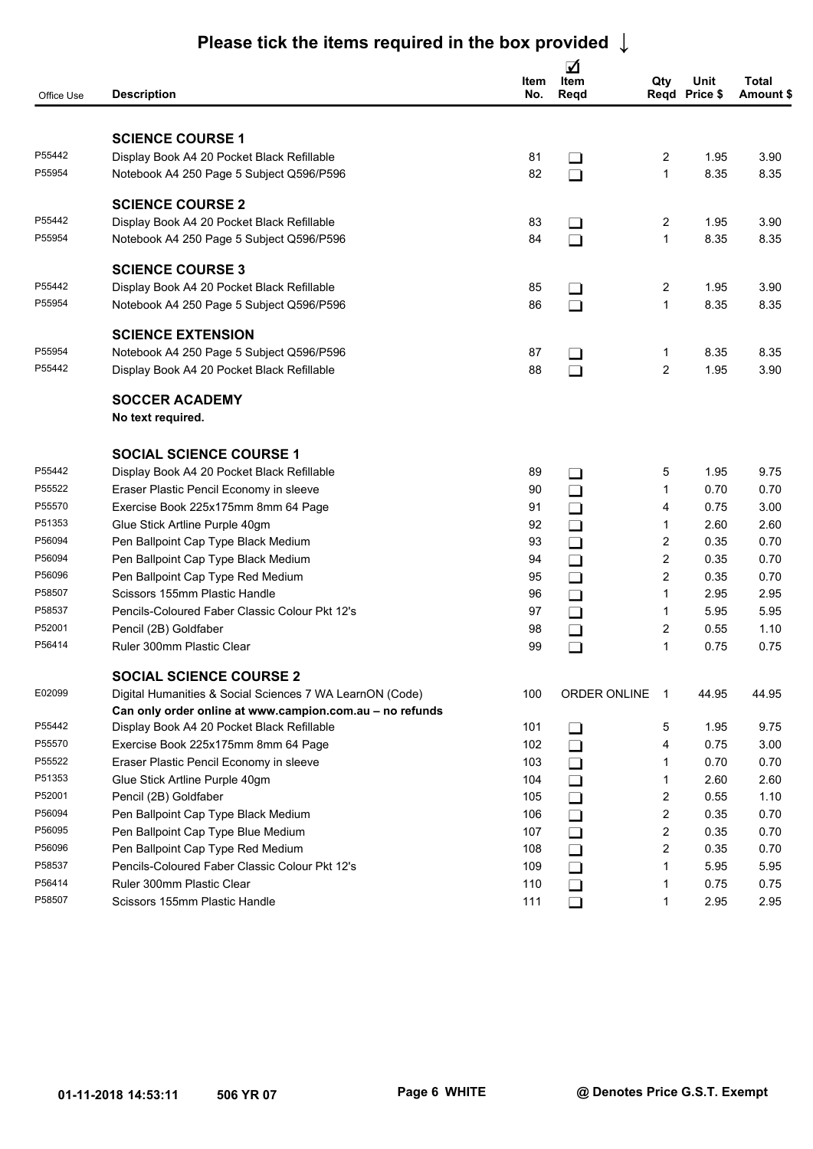| Office Use | <b>Description</b>                                       | Item<br>No. | ☑<br>Item<br>Reqd | Qty                     | Unit<br>Regd Price \$ | Total<br>Amount \$ |
|------------|----------------------------------------------------------|-------------|-------------------|-------------------------|-----------------------|--------------------|
|            | <b>SCIENCE COURSE 1</b>                                  |             |                   |                         |                       |                    |
| P55442     | Display Book A4 20 Pocket Black Refillable               | 81          |                   | 2                       | 1.95                  | 3.90               |
| P55954     | Notebook A4 250 Page 5 Subject Q596/P596                 | 82          | $\Box$<br>$\Box$  | $\mathbf{1}$            | 8.35                  | 8.35               |
|            |                                                          |             |                   |                         |                       |                    |
|            | <b>SCIENCE COURSE 2</b>                                  |             |                   |                         |                       |                    |
| P55442     | Display Book A4 20 Pocket Black Refillable               | 83          | $\Box$            | 2                       | 1.95                  | 3.90               |
| P55954     | Notebook A4 250 Page 5 Subject Q596/P596                 | 84          | $\Box$            | $\mathbf{1}$            | 8.35                  | 8.35               |
|            | <b>SCIENCE COURSE 3</b>                                  |             |                   |                         |                       |                    |
| P55442     | Display Book A4 20 Pocket Black Refillable               | 85          | $\Box$            | 2                       | 1.95                  | 3.90               |
| P55954     | Notebook A4 250 Page 5 Subject Q596/P596                 | 86          | $\Box$            | $\mathbf{1}$            | 8.35                  | 8.35               |
|            | <b>SCIENCE EXTENSION</b>                                 |             |                   |                         |                       |                    |
| P55954     | Notebook A4 250 Page 5 Subject Q596/P596                 | 87          | $\Box$            | 1                       | 8.35                  | 8.35               |
| P55442     | Display Book A4 20 Pocket Black Refillable               | 88          | $\Box$            | $\overline{2}$          | 1.95                  | 3.90               |
|            |                                                          |             |                   |                         |                       |                    |
|            | <b>SOCCER ACADEMY</b>                                    |             |                   |                         |                       |                    |
|            | No text required.                                        |             |                   |                         |                       |                    |
|            | <b>SOCIAL SCIENCE COURSE 1</b>                           |             |                   |                         |                       |                    |
| P55442     | Display Book A4 20 Pocket Black Refillable               | 89          | $\Box$            | 5                       | 1.95                  | 9.75               |
| P55522     | Eraser Plastic Pencil Economy in sleeve                  | 90          | $\Box$            | 1                       | 0.70                  | 0.70               |
| P55570     | Exercise Book 225x175mm 8mm 64 Page                      | 91          | $\Box$            | 4                       | 0.75                  | 3.00               |
| P51353     | Glue Stick Artline Purple 40gm                           | 92          | $\Box$            | 1                       | 2.60                  | 2.60               |
| P56094     | Pen Ballpoint Cap Type Black Medium                      | 93          | $\Box$            | 2                       | 0.35                  | 0.70               |
| P56094     | Pen Ballpoint Cap Type Black Medium                      | 94          | $\Box$            | 2                       | 0.35                  | 0.70               |
| P56096     | Pen Ballpoint Cap Type Red Medium                        | 95          | $\Box$            | $\overline{2}$          | 0.35                  | 0.70               |
| P58507     | Scissors 155mm Plastic Handle                            | 96          | $\Box$            | 1                       | 2.95                  | 2.95               |
| P58537     | Pencils-Coloured Faber Classic Colour Pkt 12's           | 97          | $\Box$            | 1                       | 5.95                  | 5.95               |
| P52001     | Pencil (2B) Goldfaber                                    | 98          | $\Box$            | 2                       | 0.55                  | 1.10               |
| P56414     | Ruler 300mm Plastic Clear                                | 99          | $\Box$            | 1                       | 0.75                  | 0.75               |
|            | <b>SOCIAL SCIENCE COURSE 2</b>                           |             |                   |                         |                       |                    |
| E02099     | Digital Humanities & Social Sciences 7 WA LearnON (Code) | 100         | ORDER ONLINE 1    |                         | 44.95                 | 44.95              |
|            | Can only order online at www.campion.com.au - no refunds |             |                   |                         |                       |                    |
| P55442     | Display Book A4 20 Pocket Black Refillable               | 101         | $\Box$            | 5                       | 1.95                  | 9.75               |
| P55570     | Exercise Book 225x175mm 8mm 64 Page                      | 102         | $\Box$            | 4                       | 0.75                  | 3.00               |
| P55522     | Eraser Plastic Pencil Economy in sleeve                  | 103         | $\Box$            | $\mathbf{1}$            | 0.70                  | 0.70               |
| P51353     | Glue Stick Artline Purple 40gm                           | 104         | $\Box$            | 1                       | 2.60                  | 2.60               |
| P52001     | Pencil (2B) Goldfaber                                    | 105         | $\Box$            | $\overline{\mathbf{c}}$ | 0.55                  | 1.10               |
| P56094     | Pen Ballpoint Cap Type Black Medium                      | 106         | $\Box$            | $\overline{c}$          | 0.35                  | 0.70               |
| P56095     | Pen Ballpoint Cap Type Blue Medium                       | 107         | $\Box$            | $\overline{c}$          | 0.35                  | 0.70               |
| P56096     | Pen Ballpoint Cap Type Red Medium                        | 108         | $\Box$            | $\overline{c}$          | 0.35                  | 0.70               |
| P58537     | Pencils-Coloured Faber Classic Colour Pkt 12's           | 109         | $\Box$            | 1                       | 5.95                  | 5.95               |
| P56414     | Ruler 300mm Plastic Clear                                | 110         | $\Box$            |                         | 0.75                  | 0.75               |
| P58507     | Scissors 155mm Plastic Handle                            | 111         | $\Box$            |                         | 2.95                  | 2.95               |